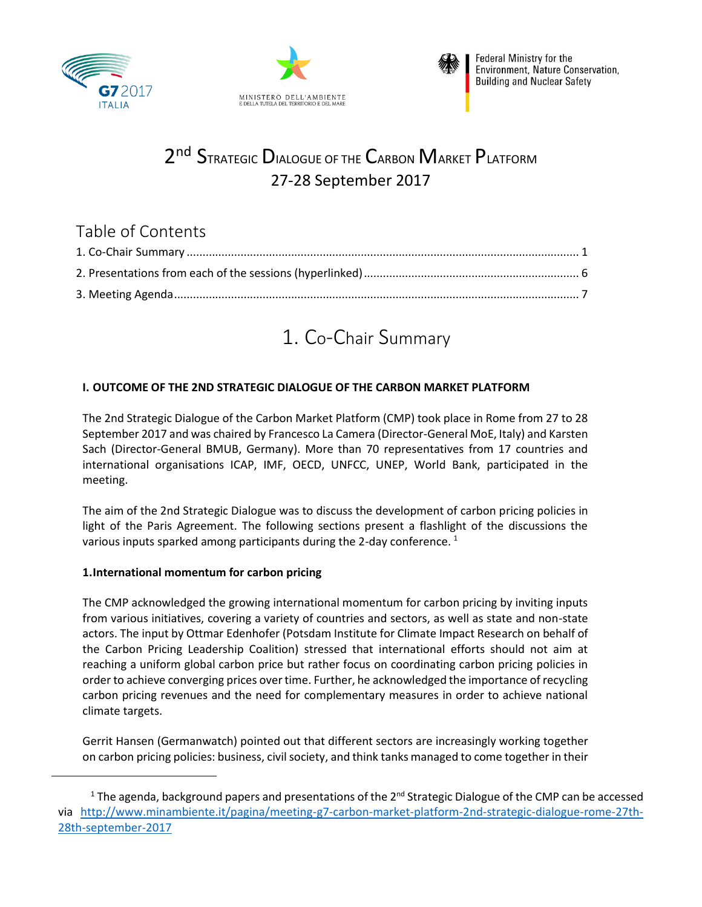





# 2<sup>nd</sup> Strategic Dialogue of the Carbon Market Platform 27-28 September 2017

## Table of Contents

# 1. Co-Chair Summary

## <span id="page-0-0"></span>**I. OUTCOME OF THE 2ND STRATEGIC DIALOGUE OF THE CARBON MARKET PLATFORM**

The 2nd Strategic Dialogue of the Carbon Market Platform (CMP) took place in Rome from 27 to 28 September 2017 and was chaired by Francesco La Camera (Director-General MoE, Italy) and Karsten Sach (Director-General BMUB, Germany). More than 70 representatives from 17 countries and international organisations ICAP, IMF, OECD, UNFCC, UNEP, World Bank, participated in the meeting.

The aim of the 2nd Strategic Dialogue was to discuss the development of carbon pricing policies in light of the Paris Agreement. The following sections present a flashlight of the discussions the various inputs sparked among participants during the 2-day conference.<sup>1</sup>

#### **1.International momentum for carbon pricing**

 $\overline{\phantom{a}}$ 

The CMP acknowledged the growing international momentum for carbon pricing by inviting inputs from various initiatives, covering a variety of countries and sectors, as well as state and non-state actors. The input by Ottmar Edenhofer (Potsdam Institute for Climate Impact Research on behalf of the Carbon Pricing Leadership Coalition) stressed that international efforts should not aim at reaching a uniform global carbon price but rather focus on coordinating carbon pricing policies in order to achieve converging prices over time. Further, he acknowledged the importance of recycling carbon pricing revenues and the need for complementary measures in order to achieve national climate targets.

Gerrit Hansen (Germanwatch) pointed out that different sectors are increasingly working together on carbon pricing policies: business, civil society, and think tanks managed to come together in their

<sup>&</sup>lt;sup>1</sup> The agenda, background papers and presentations of the  $2^{nd}$  Strategic Dialogue of the CMP can be accessed via [http://www.minambiente.it/pagina/meeting-g7-carbon-market-platform-2nd-strategic-dialogue-rome-27th-](http://www.minambiente.it/pagina/meeting-g7-carbon-market-platform-2nd-strategic-dialogue-rome-27th-28th-september-2017)[28th-september-2017](http://www.minambiente.it/pagina/meeting-g7-carbon-market-platform-2nd-strategic-dialogue-rome-27th-28th-september-2017)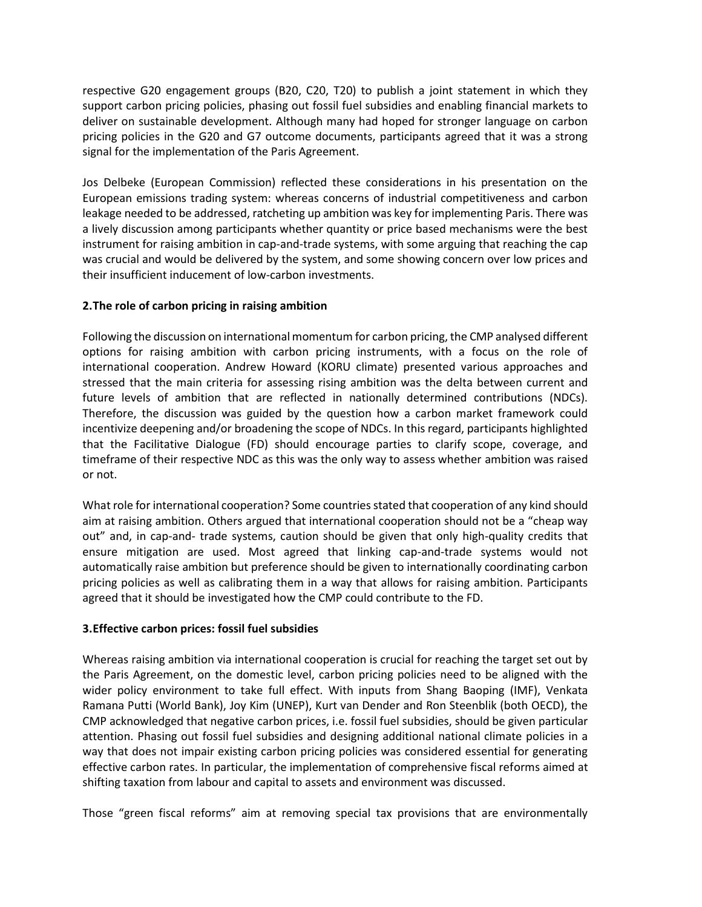respective G20 engagement groups (B20, C20, T20) to publish a joint statement in which they support carbon pricing policies, phasing out fossil fuel subsidies and enabling financial markets to deliver on sustainable development. Although many had hoped for stronger language on carbon pricing policies in the G20 and G7 outcome documents, participants agreed that it was a strong signal for the implementation of the Paris Agreement.

Jos Delbeke (European Commission) reflected these considerations in his presentation on the European emissions trading system: whereas concerns of industrial competitiveness and carbon leakage needed to be addressed, ratcheting up ambition was key for implementing Paris. There was a lively discussion among participants whether quantity or price based mechanisms were the best instrument for raising ambition in cap-and-trade systems, with some arguing that reaching the cap was crucial and would be delivered by the system, and some showing concern over low prices and their insufficient inducement of low-carbon investments.

#### **2.The role of carbon pricing in raising ambition**

Following the discussion on international momentum for carbon pricing, the CMP analysed different options for raising ambition with carbon pricing instruments, with a focus on the role of international cooperation. Andrew Howard (KORU climate) presented various approaches and stressed that the main criteria for assessing rising ambition was the delta between current and future levels of ambition that are reflected in nationally determined contributions (NDCs). Therefore, the discussion was guided by the question how a carbon market framework could incentivize deepening and/or broadening the scope of NDCs. In this regard, participants highlighted that the Facilitative Dialogue (FD) should encourage parties to clarify scope, coverage, and timeframe of their respective NDC as this was the only way to assess whether ambition was raised or not.

What role for international cooperation? Some countries stated that cooperation of any kind should aim at raising ambition. Others argued that international cooperation should not be a "cheap way out" and, in cap-and- trade systems, caution should be given that only high-quality credits that ensure mitigation are used. Most agreed that linking cap-and-trade systems would not automatically raise ambition but preference should be given to internationally coordinating carbon pricing policies as well as calibrating them in a way that allows for raising ambition. Participants agreed that it should be investigated how the CMP could contribute to the FD.

#### **3.Effective carbon prices: fossil fuel subsidies**

Whereas raising ambition via international cooperation is crucial for reaching the target set out by the Paris Agreement, on the domestic level, carbon pricing policies need to be aligned with the wider policy environment to take full effect. With inputs from Shang Baoping (IMF), Venkata Ramana Putti (World Bank), Joy Kim (UNEP), Kurt van Dender and Ron Steenblik (both OECD), the CMP acknowledged that negative carbon prices, i.e. fossil fuel subsidies, should be given particular attention. Phasing out fossil fuel subsidies and designing additional national climate policies in a way that does not impair existing carbon pricing policies was considered essential for generating effective carbon rates. In particular, the implementation of comprehensive fiscal reforms aimed at shifting taxation from labour and capital to assets and environment was discussed.

Those "green fiscal reforms" aim at removing special tax provisions that are environmentally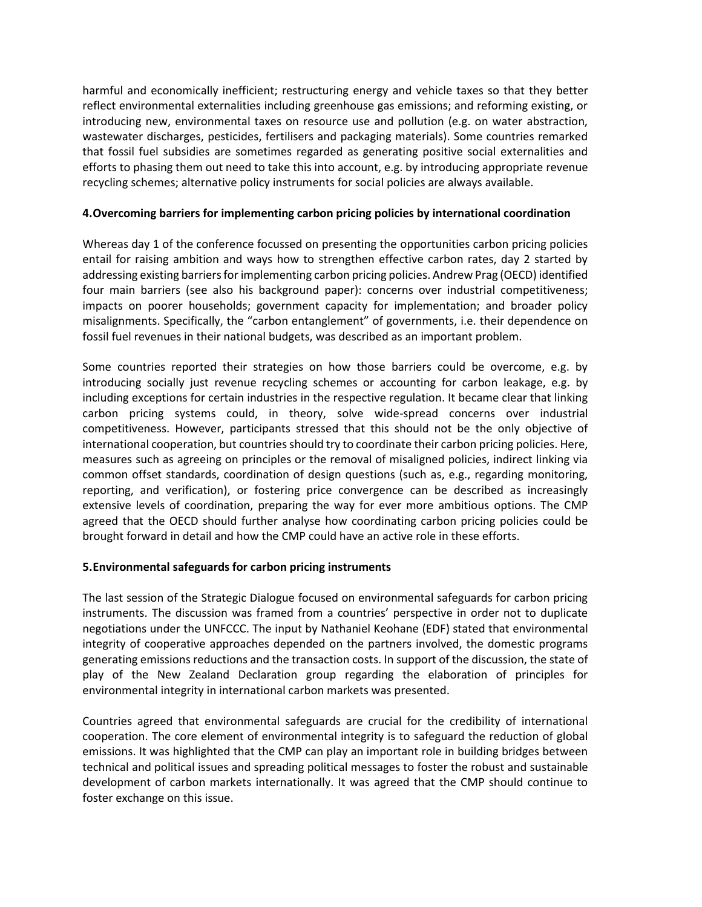harmful and economically inefficient; restructuring energy and vehicle taxes so that they better reflect environmental externalities including greenhouse gas emissions; and reforming existing, or introducing new, environmental taxes on resource use and pollution (e.g. on water abstraction, wastewater discharges, pesticides, fertilisers and packaging materials). Some countries remarked that fossil fuel subsidies are sometimes regarded as generating positive social externalities and efforts to phasing them out need to take this into account, e.g. by introducing appropriate revenue recycling schemes; alternative policy instruments for social policies are always available.

#### **4.Overcoming barriers for implementing carbon pricing policies by international coordination**

Whereas day 1 of the conference focussed on presenting the opportunities carbon pricing policies entail for raising ambition and ways how to strengthen effective carbon rates, day 2 started by addressing existing barriers for implementing carbon pricing policies. Andrew Prag (OECD) identified four main barriers (see also his background paper): concerns over industrial competitiveness; impacts on poorer households; government capacity for implementation; and broader policy misalignments. Specifically, the "carbon entanglement" of governments, i.e. their dependence on fossil fuel revenues in their national budgets, was described as an important problem.

Some countries reported their strategies on how those barriers could be overcome, e.g. by introducing socially just revenue recycling schemes or accounting for carbon leakage, e.g. by including exceptions for certain industries in the respective regulation. It became clear that linking carbon pricing systems could, in theory, solve wide-spread concerns over industrial competitiveness. However, participants stressed that this should not be the only objective of international cooperation, but countries should try to coordinate their carbon pricing policies. Here, measures such as agreeing on principles or the removal of misaligned policies, indirect linking via common offset standards, coordination of design questions (such as, e.g., regarding monitoring, reporting, and verification), or fostering price convergence can be described as increasingly extensive levels of coordination, preparing the way for ever more ambitious options. The CMP agreed that the OECD should further analyse how coordinating carbon pricing policies could be brought forward in detail and how the CMP could have an active role in these efforts.

#### **5.Environmental safeguards for carbon pricing instruments**

The last session of the Strategic Dialogue focused on environmental safeguards for carbon pricing instruments. The discussion was framed from a countries' perspective in order not to duplicate negotiations under the UNFCCC. The input by Nathaniel Keohane (EDF) stated that environmental integrity of cooperative approaches depended on the partners involved, the domestic programs generating emissions reductions and the transaction costs. In support of the discussion, the state of play of the New Zealand Declaration group regarding the elaboration of principles for environmental integrity in international carbon markets was presented.

Countries agreed that environmental safeguards are crucial for the credibility of international cooperation. The core element of environmental integrity is to safeguard the reduction of global emissions. It was highlighted that the CMP can play an important role in building bridges between technical and political issues and spreading political messages to foster the robust and sustainable development of carbon markets internationally. It was agreed that the CMP should continue to foster exchange on this issue.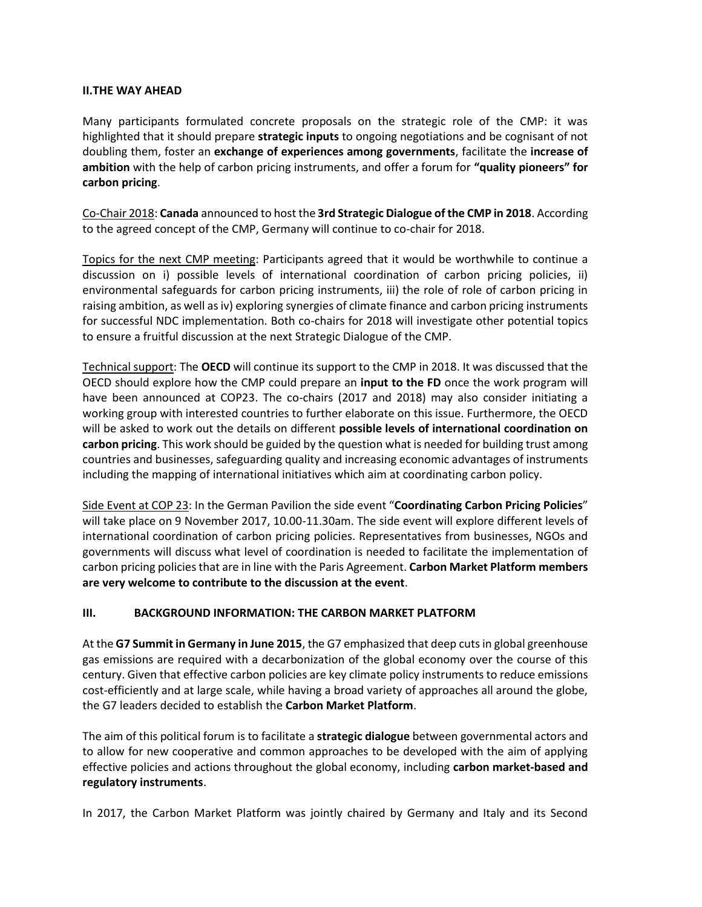#### **II.THE WAY AHEAD**

Many participants formulated concrete proposals on the strategic role of the CMP: it was highlighted that it should prepare **strategic inputs** to ongoing negotiations and be cognisant of not doubling them, foster an **exchange of experiences among governments**, facilitate the **increase of ambition** with the help of carbon pricing instruments, and offer a forum for **"quality pioneers" for carbon pricing**.

Co-Chair 2018: **Canada** announced to host the **3rd Strategic Dialogue of the CMP in 2018**. According to the agreed concept of the CMP, Germany will continue to co-chair for 2018.

Topics for the next CMP meeting: Participants agreed that it would be worthwhile to continue a discussion on i) possible levels of international coordination of carbon pricing policies, ii) environmental safeguards for carbon pricing instruments, iii) the role of role of carbon pricing in raising ambition, as well as iv) exploring synergies of climate finance and carbon pricing instruments for successful NDC implementation. Both co-chairs for 2018 will investigate other potential topics to ensure a fruitful discussion at the next Strategic Dialogue of the CMP.

Technical support: The **OECD** will continue its support to the CMP in 2018. It was discussed that the OECD should explore how the CMP could prepare an **input to the FD** once the work program will have been announced at COP23. The co-chairs (2017 and 2018) may also consider initiating a working group with interested countries to further elaborate on this issue. Furthermore, the OECD will be asked to work out the details on different **possible levels of international coordination on carbon pricing**. This work should be guided by the question what is needed for building trust among countries and businesses, safeguarding quality and increasing economic advantages of instruments including the mapping of international initiatives which aim at coordinating carbon policy.

Side Event at COP 23: In the German Pavilion the side event "**Coordinating Carbon Pricing Policies**" will take place on 9 November 2017, 10.00-11.30am. The side event will explore different levels of international coordination of carbon pricing policies. Representatives from businesses, NGOs and governments will discuss what level of coordination is needed to facilitate the implementation of carbon pricing policies that are in line with the Paris Agreement. **Carbon Market Platform members are very welcome to contribute to the discussion at the event**.

#### **III. BACKGROUND INFORMATION: THE CARBON MARKET PLATFORM**

At the **G7 Summit in Germany in June 2015**, the G7 emphasized that deep cuts in global greenhouse gas emissions are required with a decarbonization of the global economy over the course of this century. Given that effective carbon policies are key climate policy instruments to reduce emissions cost-efficiently and at large scale, while having a broad variety of approaches all around the globe, the G7 leaders decided to establish the **Carbon Market Platform**.

The aim of this political forum is to facilitate a **strategic dialogue** between governmental actors and to allow for new cooperative and common approaches to be developed with the aim of applying effective policies and actions throughout the global economy, including **carbon market-based and regulatory instruments**.

In 2017, the Carbon Market Platform was jointly chaired by Germany and Italy and its Second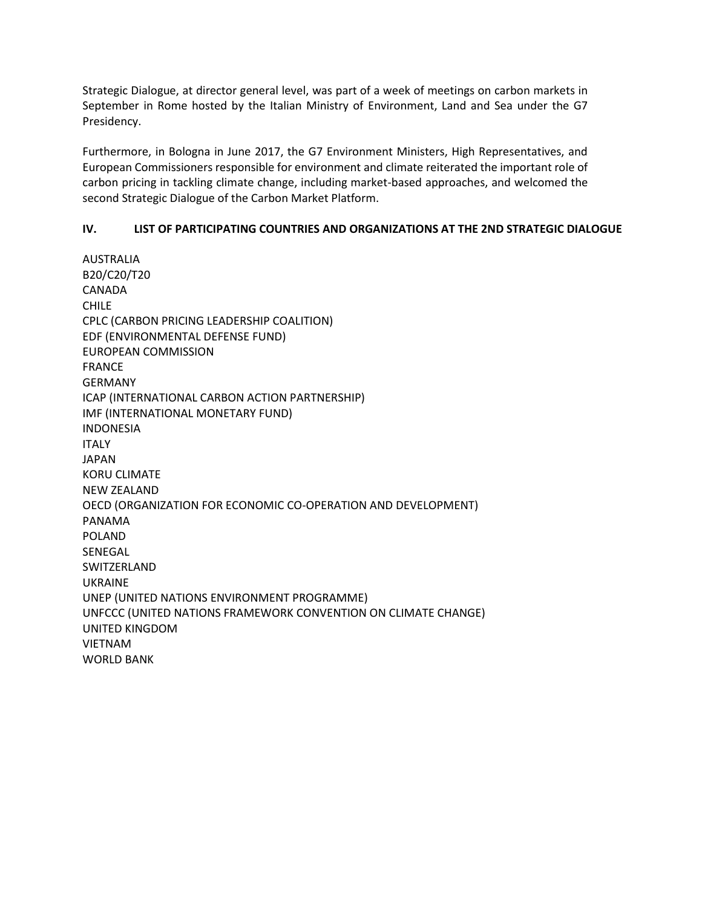Strategic Dialogue, at director general level, was part of a week of meetings on carbon markets in September in Rome hosted by the Italian Ministry of Environment, Land and Sea under the G7 Presidency.

Furthermore, in Bologna in June 2017, the G7 Environment Ministers, High Representatives, and European Commissioners responsible for environment and climate reiterated the important role of carbon pricing in tackling climate change, including market-based approaches, and welcomed the second Strategic Dialogue of the Carbon Market Platform.

#### **IV. LIST OF PARTICIPATING COUNTRIES AND ORGANIZATIONS AT THE 2ND STRATEGIC DIALOGUE**

AUSTRALIA B20/C20/T20 CANADA CHILE CPLC (CARBON PRICING LEADERSHIP COALITION) EDF (ENVIRONMENTAL DEFENSE FUND) EUROPEAN COMMISSION FRANCE GERMANY ICAP (INTERNATIONAL CARBON ACTION PARTNERSHIP) IMF (INTERNATIONAL MONETARY FUND) INDONESIA ITALY JAPAN KORU CLIMATE NEW ZEALAND OECD (ORGANIZATION FOR ECONOMIC CO-OPERATION AND DEVELOPMENT) PANAMA POLAND SENEGAL SWITZERLAND UKRAINE UNEP (UNITED NATIONS ENVIRONMENT PROGRAMME) UNFCCC (UNITED NATIONS FRAMEWORK CONVENTION ON CLIMATE CHANGE) UNITED KINGDOM VIETNAM WORLD BANK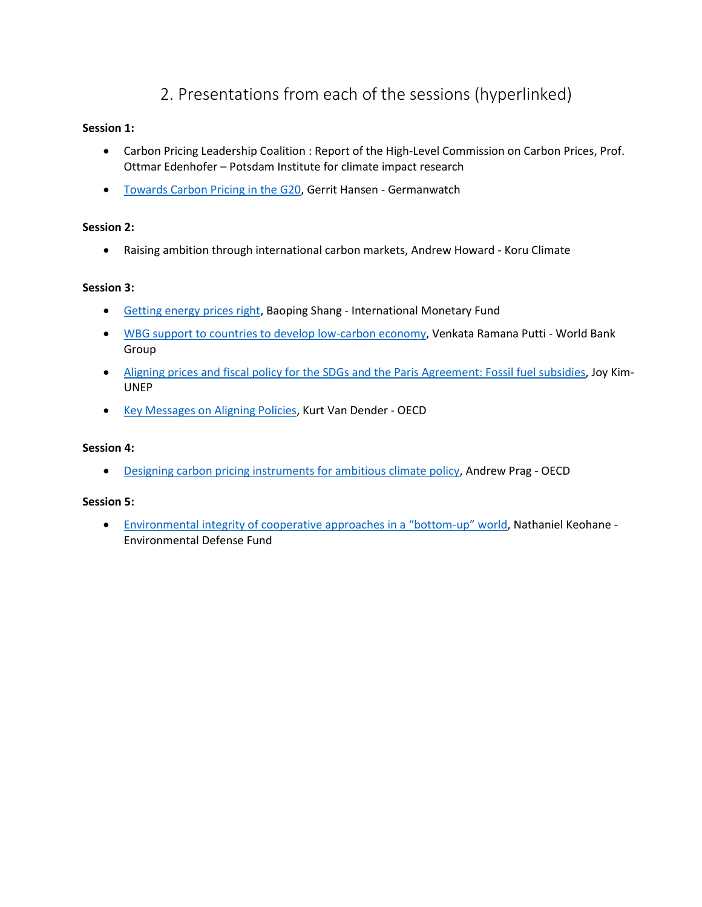## 2. Presentations from each of the sessions (hyperlinked)

#### <span id="page-5-0"></span>**Session 1:**

- Carbon Pricing Leadership Coalition : Report of the High-Level Commission on Carbon Prices, Prof. Ottmar Edenhofer – Potsdam Institute for climate impact research
- [Towards Carbon Pricing in the G20,](https://www.slideshare.net/OECD_ENV/towards-carbon-pricing-in-the-g20-gerrit-hansen-germanwatch-248606618) Gerrit Hansen Germanwatch

#### **Session 2:**

Raising ambition through international carbon markets, Andrew Howard - Koru Climate

#### **Session 3:**

- [Getting energy prices right,](https://www.slideshare.net/OECD_ENV/getting-energy-prices-right-baoping-shang-international-monetary-fund) Baoping Shang International Monetary Fund
- . [WBG support to countries to develop low-carbon economy,](https://www.slideshare.net/OECD_ENV/wbg-support-to-countries-to-develop-lowcarbon-economy-venkata-ramana-putti-world-bank-group) Venkata Ramana Putti World Bank Group
- [Aligning prices and fiscal policy for the SDGs and the Paris Agreement: Fossil fuel subsidies,](https://www.slideshare.net/OECD_ENV/aligning-prices-and-fiscal-policy-for-the-sdgs-and-the-paris-agreement-fossil-fuel-subsidies-joy-kim-unep) Joy Kim-UNEP
- [Key Messages on Aligning Policies,](https://www.slideshare.net/OECD_ENV/key-messages-on-aligning-policies-kurt-van-dender-oecd) Kurt Van Dender OECD

#### **Session 4:**

[Designing carbon pricing instruments for ambitious climate policy,](https://www.slideshare.net/OECD_ENV/designing-carbon-pricing-instruments-for-ambitious-climate-policy-andrew-prag-oecd) Andrew Prag - OECD

#### **Session 5:**

 [Environmental integrity of cooperative approaches in a "bottom](https://www.slideshare.net/OECD_ENV/environmental-integrity-of-cooperative-approaches-in-a-bottomup-world-nathaniel-keohane-environmental-defense-fund)-up" world, Nathaniel Keohane - Environmental Defense Fund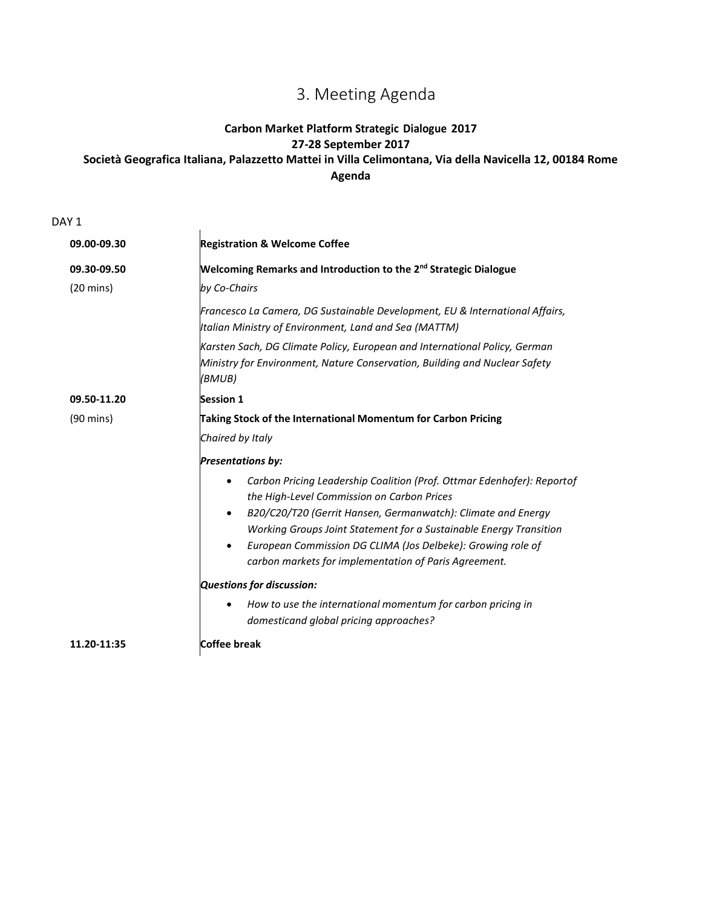# 3. Meeting Agenda

### <span id="page-6-0"></span>**Carbon Market Platform Strategic Dialogue 2017 27-28 September 2017 Società Geografica Italiana, Palazzetto Mattei in Villa Celimontana, Via della Navicella 12, 00184 Rome Agenda**

DAY<sub>1</sub>

| 09.00-09.30         | <b>Registration &amp; Welcome Coffee</b>                                                                                                                                                                                                                                |
|---------------------|-------------------------------------------------------------------------------------------------------------------------------------------------------------------------------------------------------------------------------------------------------------------------|
| 09.30-09.50         | <b>Welcoming Remarks and Introduction to the 2<sup>nd</sup> Strategic Dialogue</b>                                                                                                                                                                                      |
| $(20 \text{ mins})$ | by Co-Chairs                                                                                                                                                                                                                                                            |
|                     | Francesco La Camera, DG Sustainable Development, EU & International Affairs,<br>Italian Ministry of Environment, Land and Sea (MATTM)                                                                                                                                   |
|                     | Karsten Sach, DG Climate Policy, European and International Policy, German<br>Ministry for Environment, Nature Conservation, Building and Nuclear Safety<br>(BMUB)                                                                                                      |
| 09.50-11.20         | <b>Session 1</b>                                                                                                                                                                                                                                                        |
| $(90 \text{ mins})$ | Taking Stock of the International Momentum for Carbon Pricing                                                                                                                                                                                                           |
|                     | Chaired by Italy                                                                                                                                                                                                                                                        |
|                     | <b>Presentations by:</b>                                                                                                                                                                                                                                                |
|                     | Carbon Pricing Leadership Coalition (Prof. Ottmar Edenhofer): Reportof<br>the High-Level Commission on Carbon Prices                                                                                                                                                    |
|                     | B20/C20/T20 (Gerrit Hansen, Germanwatch): Climate and Energy<br>$\bullet$<br>Working Groups Joint Statement for a Sustainable Energy Transition<br>European Commission DG CLIMA (Jos Delbeke): Growing role of<br>carbon markets for implementation of Paris Agreement. |
|                     | Questions for discussion:                                                                                                                                                                                                                                               |
|                     | How to use the international momentum for carbon pricing in<br>domesticand global pricing approaches?                                                                                                                                                                   |
| 11.20-11:35         | Coffee break                                                                                                                                                                                                                                                            |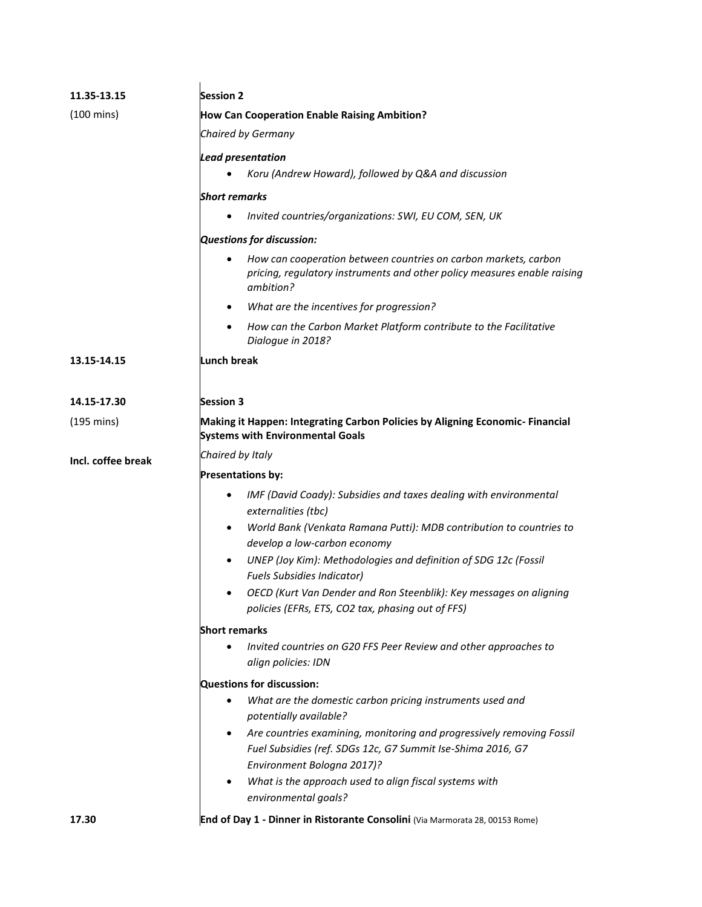| 11.35-13.15          | <b>Session 2</b>                                                                                                                                                                |  |  |
|----------------------|---------------------------------------------------------------------------------------------------------------------------------------------------------------------------------|--|--|
| $(100 \text{ mins})$ | <b>How Can Cooperation Enable Raising Ambition?</b>                                                                                                                             |  |  |
|                      | Chaired by Germany                                                                                                                                                              |  |  |
|                      | <b>Lead presentation</b>                                                                                                                                                        |  |  |
|                      | Koru (Andrew Howard), followed by Q&A and discussion                                                                                                                            |  |  |
|                      | <b>Short remarks</b>                                                                                                                                                            |  |  |
|                      | Invited countries/organizations: SWI, EU COM, SEN, UK                                                                                                                           |  |  |
|                      | Questions for discussion:                                                                                                                                                       |  |  |
|                      | How can cooperation between countries on carbon markets, carbon<br>pricing, regulatory instruments and other policy measures enable raising<br>ambition?                        |  |  |
|                      | What are the incentives for progression?<br>$\bullet$                                                                                                                           |  |  |
|                      | How can the Carbon Market Platform contribute to the Facilitative<br>$\bullet$<br>Dialogue in 2018?                                                                             |  |  |
| 13.15-14.15          | Lunch break                                                                                                                                                                     |  |  |
|                      |                                                                                                                                                                                 |  |  |
| 14.15-17.30          | <b>Session 3</b>                                                                                                                                                                |  |  |
| $(195 \text{ mins})$ | Making it Happen: Integrating Carbon Policies by Aligning Economic- Financial<br><b>Systems with Environmental Goals</b>                                                        |  |  |
| Incl. coffee break   | Chaired by Italy                                                                                                                                                                |  |  |
|                      | <b>Presentations by:</b>                                                                                                                                                        |  |  |
|                      | IMF (David Coady): Subsidies and taxes dealing with environmental<br>externalities (tbc)                                                                                        |  |  |
|                      | World Bank (Venkata Ramana Putti): MDB contribution to countries to<br>$\bullet$<br>develop a low-carbon economy                                                                |  |  |
|                      | UNEP (Joy Kim): Methodologies and definition of SDG 12c (Fossil<br>$\bullet$<br><b>Fuels Subsidies Indicator)</b>                                                               |  |  |
|                      | OECD (Kurt Van Dender and Ron Steenblik): Key messages on aligning<br>policies (EFRs, ETS, CO2 tax, phasing out of FFS)                                                         |  |  |
|                      | <b>Short remarks</b>                                                                                                                                                            |  |  |
|                      | Invited countries on G20 FFS Peer Review and other approaches to<br>align policies: IDN                                                                                         |  |  |
|                      | Questions for discussion:                                                                                                                                                       |  |  |
|                      | What are the domestic carbon pricing instruments used and<br>potentially available?                                                                                             |  |  |
|                      | Are countries examining, monitoring and progressively removing Fossil<br>$\bullet$<br>Fuel Subsidies (ref. SDGs 12c, G7 Summit Ise-Shima 2016, G7<br>Environment Bologna 2017)? |  |  |
|                      | What is the approach used to align fiscal systems with<br>$\bullet$<br>environmental goals?                                                                                     |  |  |
| 17.30                | End of Day 1 - Dinner in Ristorante Consolini (Via Marmorata 28, 00153 Rome)                                                                                                    |  |  |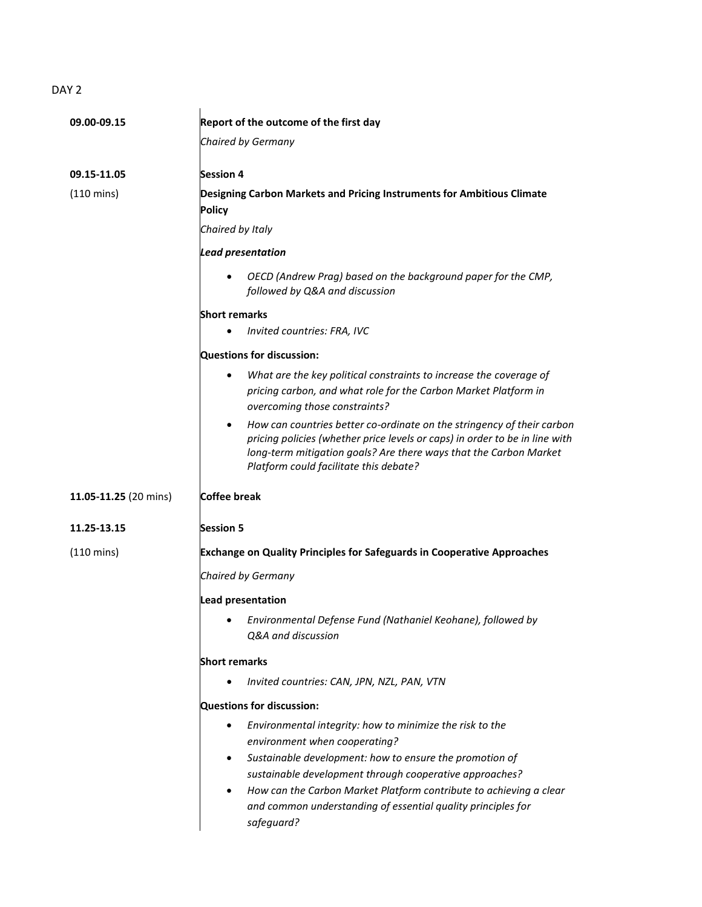## DAY<sub>2</sub>

| 09.00-09.15           | Report of the outcome of the first day                                                                                                                                                                                                                                                                                                                                             |
|-----------------------|------------------------------------------------------------------------------------------------------------------------------------------------------------------------------------------------------------------------------------------------------------------------------------------------------------------------------------------------------------------------------------|
|                       |                                                                                                                                                                                                                                                                                                                                                                                    |
|                       | Chaired by Germany                                                                                                                                                                                                                                                                                                                                                                 |
| 09.15-11.05           | <b>Session 4</b>                                                                                                                                                                                                                                                                                                                                                                   |
| (110 mins)            | Designing Carbon Markets and Pricing Instruments for Ambitious Climate<br><b>Policy</b>                                                                                                                                                                                                                                                                                            |
|                       | Chaired by Italy                                                                                                                                                                                                                                                                                                                                                                   |
|                       | <b>Lead presentation</b>                                                                                                                                                                                                                                                                                                                                                           |
|                       | OECD (Andrew Prag) based on the background paper for the CMP,<br>followed by Q&A and discussion                                                                                                                                                                                                                                                                                    |
|                       | <b>Short remarks</b>                                                                                                                                                                                                                                                                                                                                                               |
|                       | Invited countries: FRA, IVC                                                                                                                                                                                                                                                                                                                                                        |
|                       | Questions for discussion:                                                                                                                                                                                                                                                                                                                                                          |
|                       | What are the key political constraints to increase the coverage of<br>٠<br>pricing carbon, and what role for the Carbon Market Platform in<br>overcoming those constraints?                                                                                                                                                                                                        |
|                       | How can countries better co-ordinate on the stringency of their carbon<br>$\bullet$<br>pricing policies (whether price levels or caps) in order to be in line with<br>long-term mitigation goals? Are there ways that the Carbon Market<br>Platform could facilitate this debate?                                                                                                  |
| 11.05-11.25 (20 mins) | Coffee break                                                                                                                                                                                                                                                                                                                                                                       |
| 11.25-13.15           | <b>Session 5</b>                                                                                                                                                                                                                                                                                                                                                                   |
| (110 mins)            | <b>Exchange on Quality Principles for Safeguards in Cooperative Approaches</b>                                                                                                                                                                                                                                                                                                     |
|                       | Chaired by Germany                                                                                                                                                                                                                                                                                                                                                                 |
|                       | Lead presentation                                                                                                                                                                                                                                                                                                                                                                  |
|                       | Environmental Defense Fund (Nathaniel Keohane), followed by<br>Q&A and discussion                                                                                                                                                                                                                                                                                                  |
|                       | <b>Short remarks</b>                                                                                                                                                                                                                                                                                                                                                               |
|                       | Invited countries: CAN, JPN, NZL, PAN, VTN                                                                                                                                                                                                                                                                                                                                         |
|                       | Questions for discussion:                                                                                                                                                                                                                                                                                                                                                          |
|                       | Environmental integrity: how to minimize the risk to the<br>٠<br>environment when cooperating?<br>Sustainable development: how to ensure the promotion of<br>٠<br>sustainable development through cooperative approaches?<br>How can the Carbon Market Platform contribute to achieving a clear<br>٠<br>and common understanding of essential quality principles for<br>safeguard? |